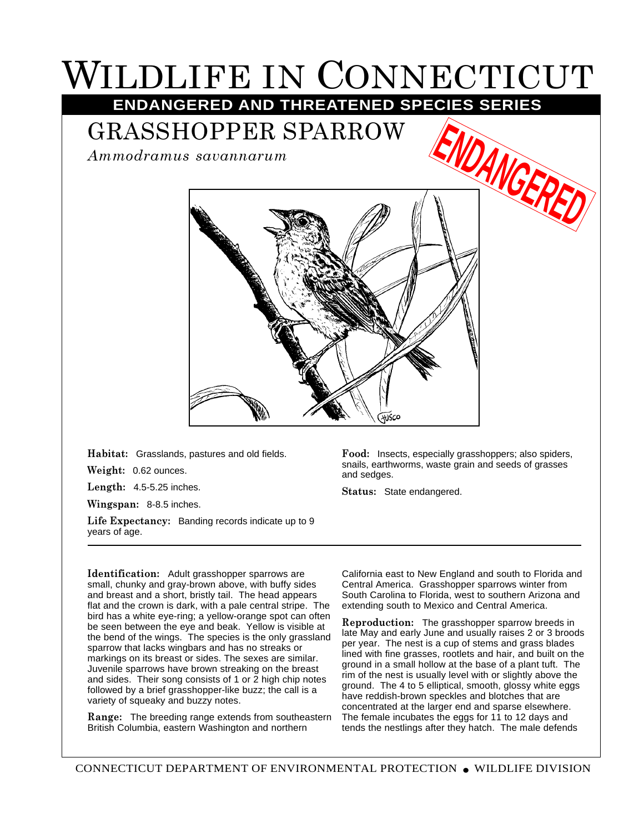## WILDLIFE IN CONNECTICUT **ENDANGERED AND THREATENED SPECIES SERIES**

GRASSHOPPER SPARROW

*Ammodramus savannarum*



**Habitat:** Grasslands, pastures and old fields.

**Weight:** 0.62 ounces.

**Length:** 4.5-5.25 inches.

**Wingspan:** 8-8.5 inches.

**Life Expectancy:** Banding records indicate up to 9 years of age.

**Food:** Insects, especially grasshoppers; also spiders, snails, earthworms, waste grain and seeds of grasses and sedges.

**Status:** State endangered.

**Identification:** Adult grasshopper sparrows are small, chunky and gray-brown above, with buffy sides and breast and a short, bristly tail. The head appears flat and the crown is dark, with a pale central stripe. The bird has a white eye-ring; a yellow-orange spot can often be seen between the eye and beak. Yellow is visible at the bend of the wings. The species is the only grassland sparrow that lacks wingbars and has no streaks or markings on its breast or sides. The sexes are similar. Juvenile sparrows have brown streaking on the breast and sides. Their song consists of 1 or 2 high chip notes followed by a brief grasshopper-like buzz; the call is a variety of squeaky and buzzy notes.

**Range:** The breeding range extends from southeastern British Columbia, eastern Washington and northern

California east to New England and south to Florida and Central America. Grasshopper sparrows winter from South Carolina to Florida, west to southern Arizona and extending south to Mexico and Central America.

**Reproduction:** The grasshopper sparrow breeds in late May and early June and usually raises 2 or 3 broods per year. The nest is a cup of stems and grass blades lined with fine grasses, rootlets and hair, and built on the ground in a small hollow at the base of a plant tuft. The rim of the nest is usually level with or slightly above the ground. The 4 to 5 elliptical, smooth, glossy white eggs have reddish-brown speckles and blotches that are concentrated at the larger end and sparse elsewhere. The female incubates the eggs for 11 to 12 days and tends the nestlings after they hatch. The male defends